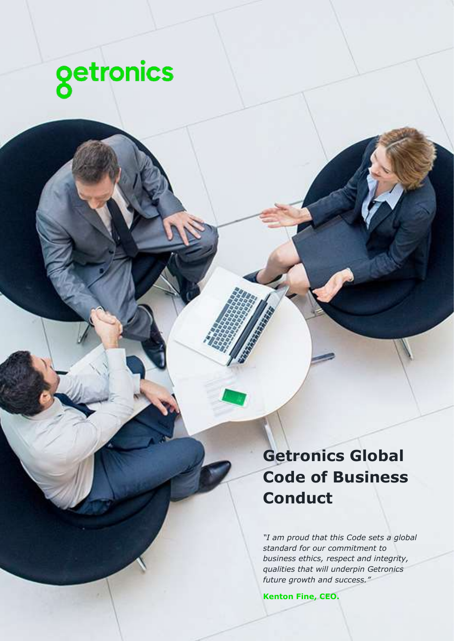

**Getronics Global Code of Business Conduct**

*"I am proud that this Code sets a global standard for our commitment to business ethics, respect and integrity, qualities that will underpin Getronics future growth and success."*

**Kenton Fine, CEO.**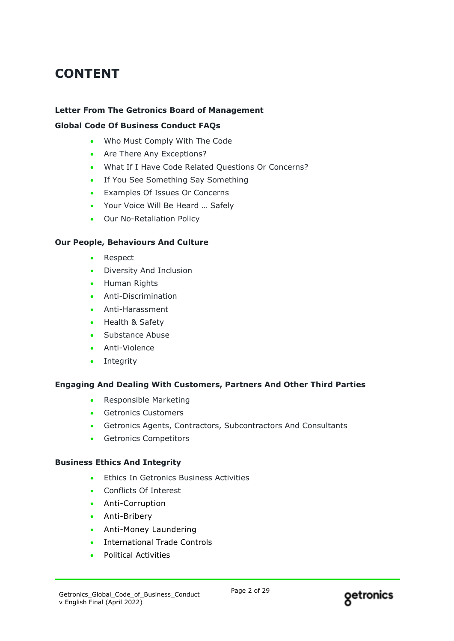# **CONTENT**

### **Letter From The Getronics Board of Management**

#### **Global Code Of Business Conduct FAQs**

- Who Must Comply With The Code
- Are There Any Exceptions?
- What If I Have Code Related Questions Or Concerns?
- If You See Something Say Something
- Examples Of Issues Or Concerns
- Your Voice Will Be Heard … Safely
- Our No-Retaliation Policy

#### **Our People, Behaviours And Culture**

- Respect
- Diversity And Inclusion
- Human Rights
- Anti-Discrimination
- Anti-Harassment
- Health & Safety
- Substance Abuse
- Anti-Violence
- Integrity

#### **Engaging And Dealing With Customers, Partners And Other Third Parties**

- Responsible Marketing
- Getronics Customers
- Getronics Agents, Contractors, Subcontractors And Consultants
- Getronics Competitors

#### **Business Ethics And Integrity**

- Ethics In Getronics Business Activities
- Conflicts Of Interest
- Anti-Corruption
- Anti-Bribery
- Anti-Money Laundering
- International Trade Controls
- Political Activities

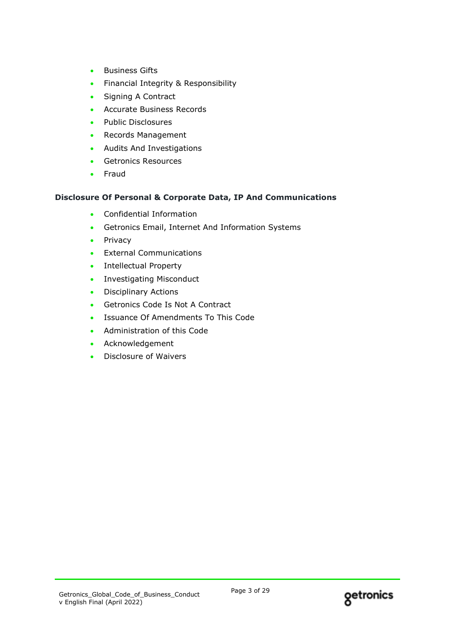- Business Gifts
- Financial Integrity & Responsibility
- Signing A Contract
- Accurate Business Records
- Public Disclosures
- Records Management
- Audits And Investigations
- Getronics Resources
- Fraud

### **Disclosure Of Personal & Corporate Data, IP And Communications**

- Confidential Information
- Getronics Email, Internet And Information Systems
- Privacy
- External Communications
- Intellectual Property
- Investigating Misconduct
- Disciplinary Actions
- Getronics Code Is Not A Contract
- Issuance Of Amendments To This Code
- Administration of this Code
- Acknowledgement
- Disclosure of Waivers

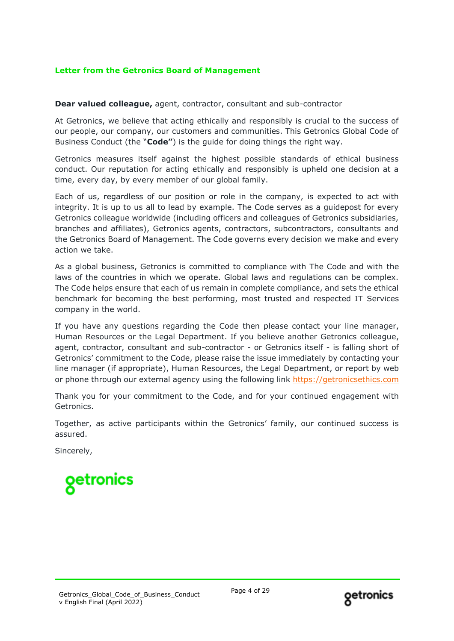## **Letter from the Getronics Board of Management**

#### **Dear valued colleague,** agent, contractor, consultant and sub-contractor

At Getronics, we believe that acting ethically and responsibly is crucial to the success of our people, our company, our customers and communities. This Getronics Global Code of Business Conduct (the "**Code"**) is the guide for doing things the right way.

Getronics measures itself against the highest possible standards of ethical business conduct. Our reputation for acting ethically and responsibly is upheld one decision at a time, every day, by every member of our global family.

Each of us, regardless of our position or role in the company, is expected to act with integrity. It is up to us all to lead by example. The Code serves as a guidepost for every Getronics colleague worldwide (including officers and colleagues of Getronics subsidiaries, branches and affiliates), Getronics agents, contractors, subcontractors, consultants and the Getronics Board of Management. The Code governs every decision we make and every action we take.

As a global business, Getronics is committed to compliance with The Code and with the laws of the countries in which we operate. Global laws and regulations can be complex. The Code helps ensure that each of us remain in complete compliance, and sets the ethical benchmark for becoming the best performing, most trusted and respected IT Services company in the world.

If you have any questions regarding the Code then please contact your line manager, Human Resources or the Legal Department. If you believe another Getronics colleague, agent, contractor, consultant and sub-contractor - or Getronics itself - is falling short of Getronics' commitment to the Code, please raise the issue immediately by contacting your line manager (if appropriate), Human Resources, the Legal Department, or report by web or phone through our external agency using the following link [https://getronicsethics.com](https://getronicsethics.com/)

Thank you for your commitment to the Code, and for your continued engagement with Getronics.

Together, as active participants within the Getronics' family, our continued success is assured.

Sincerely,



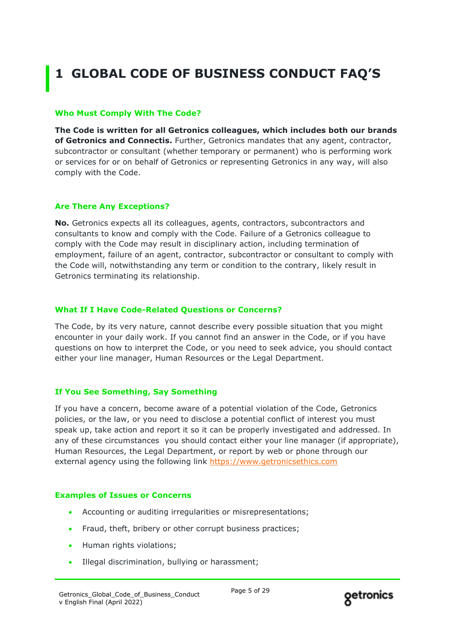# **1 GLOBAL CODE OF BUSINESS CONDUCT FAQ'S**

#### **Who Must Comply With The Code?**

**The Code is written for all Getronics colleagues, which includes both our brands of Getronics and Connectis.** Further, Getronics mandates that any agent, contractor, subcontractor or consultant (whether temporary or permanent) who is performing work or services for or on behalf of Getronics or representing Getronics in any way, will also comply with the Code.

#### **Are There Any Exceptions?**

**No.** Getronics expects all its colleagues, agents, contractors, subcontractors and consultants to know and comply with the Code. Failure of a Getronics colleague to comply with the Code may result in disciplinary action, including termination of employment, failure of an agent, contractor, subcontractor or consultant to comply with the Code will, notwithstanding any term or condition to the contrary, likely result in Getronics terminating its relationship.

#### **What If I Have Code-Related Questions or Concerns?**

The Code, by its very nature, cannot describe every possible situation that you might encounter in your daily work. If you cannot find an answer in the Code, or if you have questions on how to interpret the Code, or you need to seek advice, you should contact either your line manager, Human Resources or the Legal Department.

#### **If You See Something, Say Something**

If you have a concern, become aware of a potential violation of the Code, Getronics policies, or the law, or you need to disclose a potential conflict of interest you must speak up, take action and report it so it can be properly investigated and addressed. In any of these circumstances you should contact either your line manager (if appropriate), Human Resources, the Legal Department, or report by web or phone through our external agency using the following link [https://www.getronicsethics.com](https://www.getronicsethics.com/)

#### **Examples of Issues or Concerns**

- Accounting or auditing irregularities or misrepresentations;
- Fraud, theft, bribery or other corrupt business practices;
- Human rights violations;
- Illegal discrimination, bullying or harassment;

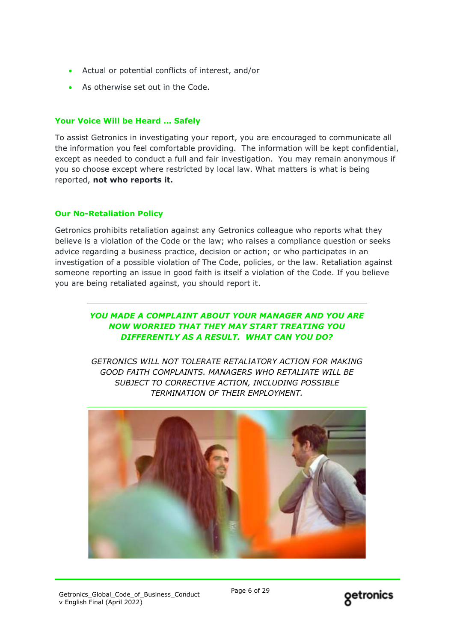- Actual or potential conflicts of interest, and/or
- As otherwise set out in the Code.

## **Your Voice Will be Heard … Safely**

To assist Getronics in investigating your report, you are encouraged to communicate all the information you feel comfortable providing. The information will be kept confidential, except as needed to conduct a full and fair investigation. You may remain anonymous if you so choose except where restricted by local law. What matters is what is being reported, **not who reports it.**

### **Our No-Retaliation Policy**

Getronics prohibits retaliation against any Getronics colleague who reports what they believe is a violation of the Code or the law; who raises a compliance question or seeks advice regarding a business practice, decision or action; or who participates in an investigation of a possible violation of The Code, policies, or the law. Retaliation against someone reporting an issue in good faith is itself a violation of the Code. If you believe you are being retaliated against, you should report it.

## *YOU MADE A COMPLAINT ABOUT YOUR MANAGER AND YOU ARE NOW WORRIED THAT THEY MAY START TREATING YOU DIFFERENTLY AS A RESULT. WHAT CAN YOU DO?*

*GETRONICS WILL NOT TOLERATE RETALIATORY ACTION FOR MAKING GOOD FAITH COMPLAINTS. MANAGERS WHO RETALIATE WILL BE SUBJECT TO CORRECTIVE ACTION, INCLUDING POSSIBLE TERMINATION OF THEIR EMPLOYMENT.*



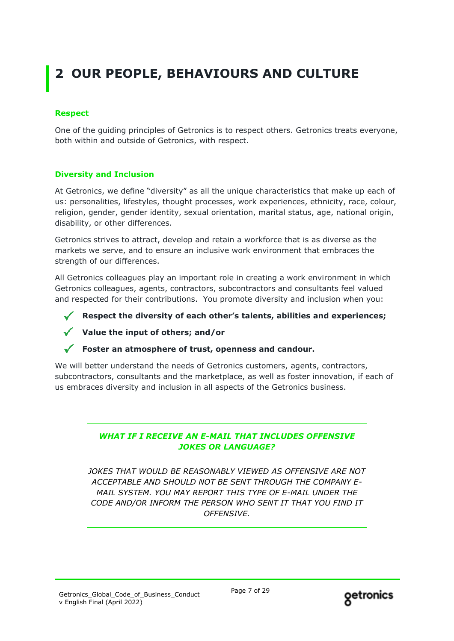# **2 OUR PEOPLE, BEHAVIOURS AND CULTURE**

## **Respect**

One of the guiding principles of Getronics is to respect others. Getronics treats everyone, both within and outside of Getronics, with respect.

## **Diversity and Inclusion**

At Getronics, we define "diversity" as all the unique characteristics that make up each of us: personalities, lifestyles, thought processes, work experiences, ethnicity, race, colour, religion, gender, gender identity, sexual orientation, marital status, age, national origin, disability, or other differences.

Getronics strives to attract, develop and retain a workforce that is as diverse as the markets we serve, and to ensure an inclusive work environment that embraces the strength of our differences.

All Getronics colleagues play an important role in creating a work environment in which Getronics colleagues, agents, contractors, subcontractors and consultants feel valued and respected for their contributions. You promote diversity and inclusion when you:

**Respect the diversity of each other's talents, abilities and experiences;**

**Value the input of others; and/or**

### **Foster an atmosphere of trust, openness and candour.**

We will better understand the needs of Getronics customers, agents, contractors, subcontractors, consultants and the marketplace, as well as foster innovation, if each of us embraces diversity and inclusion in all aspects of the Getronics business.

## *WHAT IF I RECEIVE AN E-MAIL THAT INCLUDES OFFENSIVE JOKES OR LANGUAGE?*

*JOKES THAT WOULD BE REASONABLY VIEWED AS OFFENSIVE ARE NOT ACCEPTABLE AND SHOULD NOT BE SENT THROUGH THE COMPANY E-MAIL SYSTEM. YOU MAY REPORT THIS TYPE OF E-MAIL UNDER THE CODE AND/OR INFORM THE PERSON WHO SENT IT THAT YOU FIND IT OFFENSIVE.*

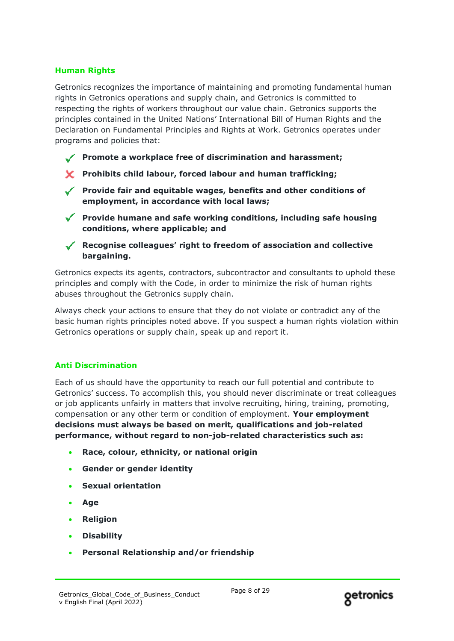## **Human Rights**

Getronics recognizes the importance of maintaining and promoting fundamental human rights in Getronics operations and supply chain, and Getronics is committed to respecting the rights of workers throughout our value chain. Getronics supports the principles contained in the United Nations' International Bill of Human Rights and the Declaration on Fundamental Principles and Rights at Work. Getronics operates under programs and policies that:

- **Promote a workplace free of discrimination and harassment;**
- **Prohibits child labour, forced labour and human trafficking;**
- **Provide fair and equitable wages, benefits and other conditions of employment, in accordance with local laws;**
- **Provide humane and safe working conditions, including safe housing conditions, where applicable; and**
- **Recognise colleagues' right to freedom of association and collective bargaining.**

Getronics expects its agents, contractors, subcontractor and consultants to uphold these principles and comply with the Code, in order to minimize the risk of human rights abuses throughout the Getronics supply chain.

Always check your actions to ensure that they do not violate or contradict any of the basic human rights principles noted above. If you suspect a human rights violation within Getronics operations or supply chain, speak up and report it.

### **Anti Discrimination**

Each of us should have the opportunity to reach our full potential and contribute to Getronics' success. To accomplish this, you should never discriminate or treat colleagues or job applicants unfairly in matters that involve recruiting, hiring, training, promoting, compensation or any other term or condition of employment. **Your employment decisions must always be based on merit, qualifications and job-related performance, without regard to non-job-related characteristics such as:**

- **Race, colour, ethnicity, or national origin**
- **Gender or gender identity**
- **Sexual orientation**
- **Age**
- **Religion**
- **Disability**
- **Personal Relationship and/or friendship**

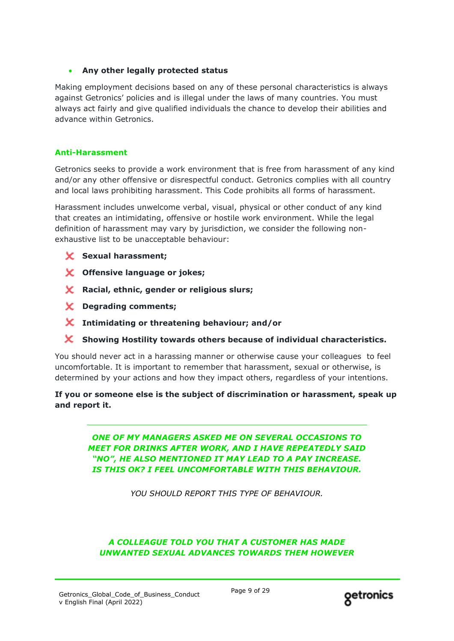## • **Any other legally protected status**

Making employment decisions based on any of these personal characteristics is always against Getronics' policies and is illegal under the laws of many countries. You must always act fairly and give qualified individuals the chance to develop their abilities and advance within Getronics.

### **Anti-Harassment**

Getronics seeks to provide a work environment that is free from harassment of any kind and/or any other offensive or disrespectful conduct. Getronics complies with all country and local laws prohibiting harassment. This Code prohibits all forms of harassment.

Harassment includes unwelcome verbal, visual, physical or other conduct of any kind that creates an intimidating, offensive or hostile work environment. While the legal definition of harassment may vary by jurisdiction, we consider the following nonexhaustive list to be unacceptable behaviour:

- **Sexual harassment;**
- **Offensive language or jokes;**
- **Racial, ethnic, gender or religious slurs;**
- **Degrading comments;**
- **Intimidating or threatening behaviour; and/or**
- **Showing Hostility towards others because of individual characteristics.**

You should never act in a harassing manner or otherwise cause your colleagues to feel uncomfortable. It is important to remember that harassment, sexual or otherwise, is determined by your actions and how they impact others, regardless of your intentions.

## **If you or someone else is the subject of discrimination or harassment, speak up and report it.**

*ONE OF MY MANAGERS ASKED ME ON SEVERAL OCCASIONS TO MEET FOR DRINKS AFTER WORK, AND I HAVE REPEATEDLY SAID "NO", HE ALSO MENTIONED IT MAY LEAD TO A PAY INCREASE. IS THIS OK? I FEEL UNCOMFORTABLE WITH THIS BEHAVIOUR.*

*YOU SHOULD REPORT THIS TYPE OF BEHAVIOUR.*

## *A COLLEAGUE TOLD YOU THAT A CUSTOMER HAS MADE UNWANTED SEXUAL ADVANCES TOWARDS THEM HOWEVER*

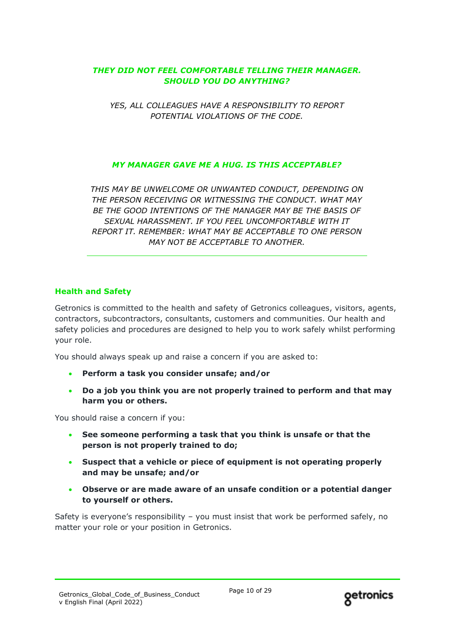## *THEY DID NOT FEEL COMFORTABLE TELLING THEIR MANAGER. SHOULD YOU DO ANYTHING?*

*YES, ALL COLLEAGUES HAVE A RESPONSIBILITY TO REPORT POTENTIAL VIOLATIONS OF THE CODE.*

## *MY MANAGER GAVE ME A HUG. IS THIS ACCEPTABLE?*

*THIS MAY BE UNWELCOME OR UNWANTED CONDUCT, DEPENDING ON THE PERSON RECEIVING OR WITNESSING THE CONDUCT. WHAT MAY BE THE GOOD INTENTIONS OF THE MANAGER MAY BE THE BASIS OF SEXUAL HARASSMENT. IF YOU FEEL UNCOMFORTABLE WITH IT REPORT IT. REMEMBER: WHAT MAY BE ACCEPTABLE TO ONE PERSON MAY NOT BE ACCEPTABLE TO ANOTHER.*

### **Health and Safety**

Getronics is committed to the health and safety of Getronics colleagues, visitors, agents, contractors, subcontractors, consultants, customers and communities. Our health and safety policies and procedures are designed to help you to work safely whilst performing your role.

You should always speak up and raise a concern if you are asked to:

- **Perform a task you consider unsafe; and/or**
- **Do a job you think you are not properly trained to perform and that may harm you or others.**

You should raise a concern if you:

- **See someone performing a task that you think is unsafe or that the person is not properly trained to do;**
- **Suspect that a vehicle or piece of equipment is not operating properly and may be unsafe; and/or**
- **Observe or are made aware of an unsafe condition or a potential danger to yourself or others.**

Safety is everyone's responsibility – you must insist that work be performed safely, no matter your role or your position in Getronics.

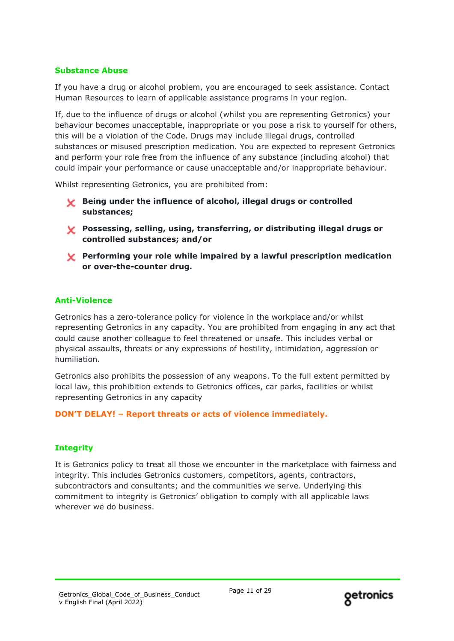### **Substance Abuse**

If you have a drug or alcohol problem, you are encouraged to seek assistance. Contact Human Resources to learn of applicable assistance programs in your region.

If, due to the influence of drugs or alcohol (whilst you are representing Getronics) your behaviour becomes unacceptable, inappropriate or you pose a risk to yourself for others, this will be a violation of the Code. Drugs may include illegal drugs, controlled substances or misused prescription medication. You are expected to represent Getronics and perform your role free from the influence of any substance (including alcohol) that could impair your performance or cause unacceptable and/or inappropriate behaviour.

Whilst representing Getronics, you are prohibited from:

- **Being under the influence of alcohol, illegal drugs or controlled substances;**
- **Possessing, selling, using, transferring, or distributing illegal drugs or controlled substances; and/or**
- **Performing your role while impaired by a lawful prescription medication or over-the-counter drug.**

## **Anti-Violence**

Getronics has a zero-tolerance policy for violence in the workplace and/or whilst representing Getronics in any capacity. You are prohibited from engaging in any act that could cause another colleague to feel threatened or unsafe. This includes verbal or physical assaults, threats or any expressions of hostility, intimidation, aggression or humiliation.

Getronics also prohibits the possession of any weapons. To the full extent permitted by local law, this prohibition extends to Getronics offices, car parks, facilities or whilst representing Getronics in any capacity

### **DON'T DELAY! – Report threats or acts of violence immediately.**

### **Integrity**

It is Getronics policy to treat all those we encounter in the marketplace with fairness and integrity. This includes Getronics customers, competitors, agents, contractors, subcontractors and consultants; and the communities we serve. Underlying this commitment to integrity is Getronics' obligation to comply with all applicable laws wherever we do business.

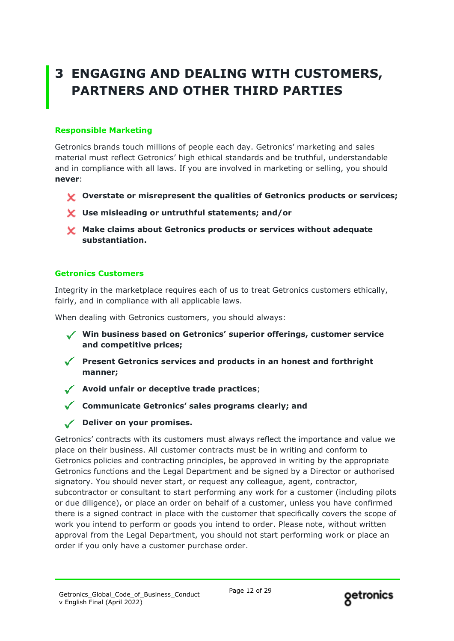# **3 ENGAGING AND DEALING WITH CUSTOMERS, PARTNERS AND OTHER THIRD PARTIES**

## **Responsible Marketing**

Getronics brands touch millions of people each day. Getronics' marketing and sales material must reflect Getronics' high ethical standards and be truthful, understandable and in compliance with all laws. If you are involved in marketing or selling, you should **never**:

- **Overstate or misrepresent the qualities of Getronics products or services;**
- **Use misleading or untruthful statements; and/or**
- **Make claims about Getronics products or services without adequate substantiation.**

## **Getronics Customers**

Integrity in the marketplace requires each of us to treat Getronics customers ethically, fairly, and in compliance with all applicable laws.

When dealing with Getronics customers, you should always:

**Win business based on Getronics' superior offerings, customer service and competitive prices;**

- **Present Getronics services and products in an honest and forthright manner;**
- **Avoid unfair or deceptive trade practices**;
	- **Communicate Getronics' sales programs clearly; and**
- **Deliver on your promises.**

Getronics' contracts with its customers must always reflect the importance and value we place on their business. All customer contracts must be in writing and conform to Getronics policies and contracting principles, be approved in writing by the appropriate Getronics functions and the Legal Department and be signed by a Director or authorised signatory. You should never start, or request any colleague, agent, contractor, subcontractor or consultant to start performing any work for a customer (including pilots or due diligence), or place an order on behalf of a customer, unless you have confirmed there is a signed contract in place with the customer that specifically covers the scope of work you intend to perform or goods you intend to order. Please note, without written approval from the Legal Department, you should not start performing work or place an order if you only have a customer purchase order.

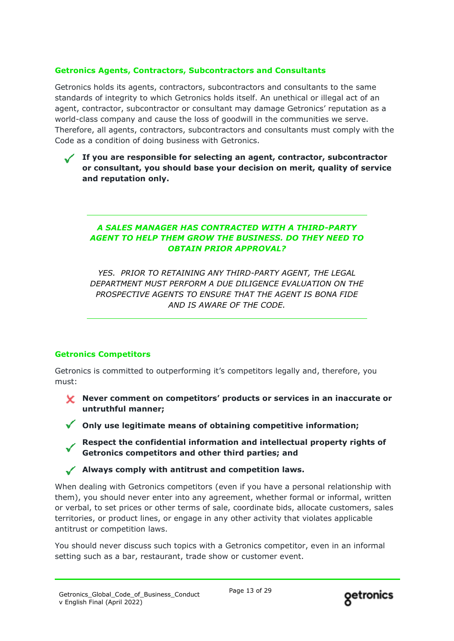## **Getronics Agents, Contractors, Subcontractors and Consultants**

Getronics holds its agents, contractors, subcontractors and consultants to the same standards of integrity to which Getronics holds itself. An unethical or illegal act of an agent, contractor, subcontractor or consultant may damage Getronics' reputation as a world-class company and cause the loss of goodwill in the communities we serve. Therefore, all agents, contractors, subcontractors and consultants must comply with the Code as a condition of doing business with Getronics.

**If you are responsible for selecting an agent, contractor, subcontractor or consultant, you should base your decision on merit, quality of service and reputation only.**

## *A SALES MANAGER HAS CONTRACTED WITH A THIRD-PARTY AGENT TO HELP THEM GROW THE BUSINESS. DO THEY NEED TO OBTAIN PRIOR APPROVAL?*

*YES. PRIOR TO RETAINING ANY THIRD-PARTY AGENT, THE LEGAL DEPARTMENT MUST PERFORM A DUE DILIGENCE EVALUATION ON THE PROSPECTIVE AGENTS TO ENSURE THAT THE AGENT IS BONA FIDE AND IS AWARE OF THE CODE.*

## **Getronics Competitors**

Getronics is committed to outperforming it's competitors legally and, therefore, you must:

- **Never comment on competitors' products or services in an inaccurate or untruthful manner;**
- **Only use legitimate means of obtaining competitive information;** 
	- **Respect the confidential information and intellectual property rights of Getronics competitors and other third parties; and**

**Always comply with antitrust and competition laws.**

When dealing with Getronics competitors (even if you have a personal relationship with them), you should never enter into any agreement, whether formal or informal, written or verbal, to set prices or other terms of sale, coordinate bids, allocate customers, sales territories, or product lines, or engage in any other activity that violates applicable antitrust or competition laws.

You should never discuss such topics with a Getronics competitor, even in an informal setting such as a bar, restaurant, trade show or customer event.

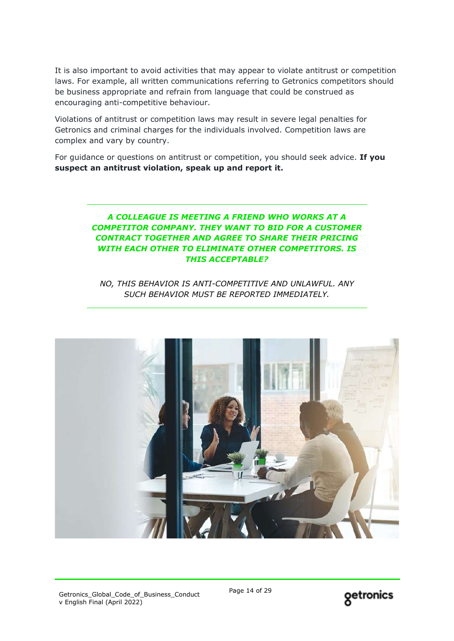It is also important to avoid activities that may appear to violate antitrust or competition laws. For example, all written communications referring to Getronics competitors should be business appropriate and refrain from language that could be construed as encouraging anti-competitive behaviour.

Violations of antitrust or competition laws may result in severe legal penalties for Getronics and criminal charges for the individuals involved. Competition laws are complex and vary by country.

For guidance or questions on antitrust or competition, you should seek advice. **If you suspect an antitrust violation, speak up and report it.**

## *A COLLEAGUE IS MEETING A FRIEND WHO WORKS AT A COMPETITOR COMPANY. THEY WANT TO BID FOR A CUSTOMER CONTRACT TOGETHER AND AGREE TO SHARE THEIR PRICING WITH EACH OTHER TO ELIMINATE OTHER COMPETITORS. IS THIS ACCEPTABLE?*

*NO, THIS BEHAVIOR IS ANTI-COMPETITIVE AND UNLAWFUL. ANY SUCH BEHAVIOR MUST BE REPORTED IMMEDIATELY.*



Getronics\_Global\_Code\_of\_Business\_Conduct v English Final (April 2022)

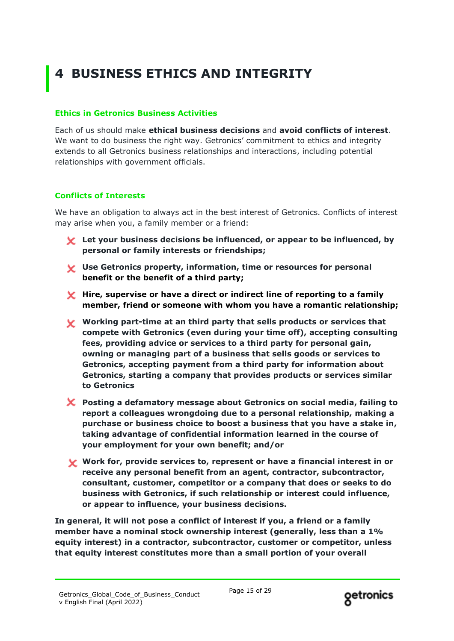# **4 BUSINESS ETHICS AND INTEGRITY**

## **Ethics in Getronics Business Activities**

Each of us should make **ethical business decisions** and **avoid conflicts of interest**. We want to do business the right way. Getronics' commitment to ethics and integrity extends to all Getronics business relationships and interactions, including potential relationships with government officials.

## **Conflicts of Interests**

We have an obligation to always act in the best interest of Getronics. Conflicts of interest may arise when you, a family member or a friend:

- **Let your business decisions be influenced, or appear to be influenced, by personal or family interests or friendships;**
- **Use Getronics property, information, time or resources for personal benefit or the benefit of a third party;**
- **Hire, supervise or have a direct or indirect line of reporting to a family member, friend or someone with whom you have a romantic relationship;**
- 1. **Working part-time at an third party that sells products or services that compete with Getronics (even during your time off), accepting consulting fees, providing advice or services to a third party for personal gain, owning or managing part of a business that sells goods or services to Getronics, accepting payment from a third party for information about Getronics, starting a company that provides products or services similar to Getronics**
- **Posting a defamatory message about Getronics on social media, failing to report a colleagues wrongdoing due to a personal relationship, making a purchase or business choice to boost a business that you have a stake in, taking advantage of confidential information learned in the course of your employment for your own benefit; and/or**
- **Work for, provide services to, represent or have a financial interest in or receive any personal benefit from an agent, contractor, subcontractor, consultant, customer, competitor or a company that does or seeks to do business with Getronics, if such relationship or interest could influence, or appear to influence, your business decisions.**

**In general, it will not pose a conflict of interest if you, a friend or a family member have a nominal stock ownership interest (generally, less than a 1% equity interest) in a contractor, subcontractor, customer or competitor, unless that equity interest constitutes more than a small portion of your overall** 

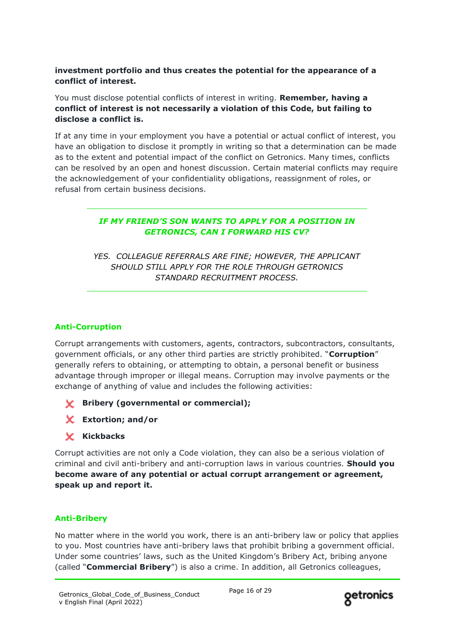## **investment portfolio and thus creates the potential for the appearance of a conflict of interest.**

You must disclose potential conflicts of interest in writing. **Remember, having a conflict of interest is not necessarily a violation of this Code, but failing to disclose a conflict is.**

If at any time in your employment you have a potential or actual conflict of interest, you have an obligation to disclose it promptly in writing so that a determination can be made as to the extent and potential impact of the conflict on Getronics. Many times, conflicts can be resolved by an open and honest discussion. Certain material conflicts may require the acknowledgement of your confidentiality obligations, reassignment of roles, or refusal from certain business decisions.

## *IF MY FRIEND'S SON WANTS TO APPLY FOR A POSITION IN GETRONICS, CAN I FORWARD HIS CV?*

*YES. COLLEAGUE REFERRALS ARE FINE; HOWEVER, THE APPLICANT SHOULD STILL APPLY FOR THE ROLE THROUGH GETRONICS STANDARD RECRUITMENT PROCESS.*

## **Anti-Corruption**

Corrupt arrangements with customers, agents, contractors, subcontractors, consultants, government officials, or any other third parties are strictly prohibited. "**Corruption**" generally refers to obtaining, or attempting to obtain, a personal benefit or business advantage through improper or illegal means. Corruption may involve payments or the exchange of anything of value and includes the following activities:

- **Bribery (governmental or commercial);**
- **Extortion; and/or**
- **Kickbacks**

Corrupt activities are not only a Code violation, they can also be a serious violation of criminal and civil anti-bribery and anti-corruption laws in various countries. **Should you become aware of any potential or actual corrupt arrangement or agreement, speak up and report it.**

## **Anti-Bribery**

No matter where in the world you work, there is an anti-bribery law or policy that applies to you. Most countries have anti-bribery laws that prohibit bribing a government official. Under some countries' laws, such as the United Kingdom's Bribery Act, bribing anyone (called "**Commercial Bribery**") is also a crime. In addition, all Getronics colleagues,

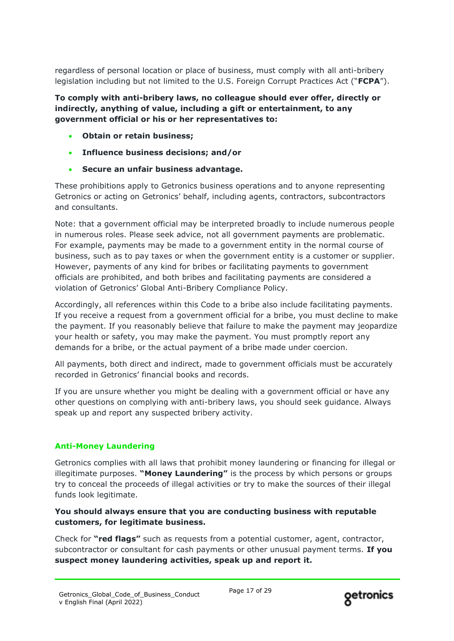regardless of personal location or place of business, must comply with all anti-bribery legislation including but not limited to the U.S. Foreign Corrupt Practices Act ("**FCPA**").

**To comply with anti-bribery laws, no colleague should ever offer, directly or indirectly, anything of value, including a gift or entertainment, to any government official or his or her representatives to:**

- **Obtain or retain business;**
- **Influence business decisions; and/or**
- **Secure an unfair business advantage.**

These prohibitions apply to Getronics business operations and to anyone representing Getronics or acting on Getronics' behalf, including agents, contractors, subcontractors and consultants.

Note: that a government official may be interpreted broadly to include numerous people in numerous roles. Please seek advice, not all government payments are problematic. For example, payments may be made to a government entity in the normal course of business, such as to pay taxes or when the government entity is a customer or supplier. However, payments of any kind for bribes or facilitating payments to government officials are prohibited, and both bribes and facilitating payments are considered a violation of Getronics' Global Anti-Bribery Compliance Policy.

Accordingly, all references within this Code to a bribe also include facilitating payments. If you receive a request from a government official for a bribe, you must decline to make the payment. If you reasonably believe that failure to make the payment may jeopardize your health or safety, you may make the payment. You must promptly report any demands for a bribe, or the actual payment of a bribe made under coercion.

All payments, both direct and indirect, made to government officials must be accurately recorded in Getronics' financial books and records.

If you are unsure whether you might be dealing with a government official or have any other questions on complying with anti-bribery laws, you should seek guidance. Always speak up and report any suspected bribery activity.

# **Anti-Money Laundering**

Getronics complies with all laws that prohibit money laundering or financing for illegal or illegitimate purposes. **"Money Laundering"** is the process by which persons or groups try to conceal the proceeds of illegal activities or try to make the sources of their illegal funds look legitimate.

## **You should always ensure that you are conducting business with reputable customers, for legitimate business.**

Check for **"red flags"** such as requests from a potential customer, agent, contractor, subcontractor or consultant for cash payments or other unusual payment terms. **If you suspect money laundering activities, speak up and report it.**

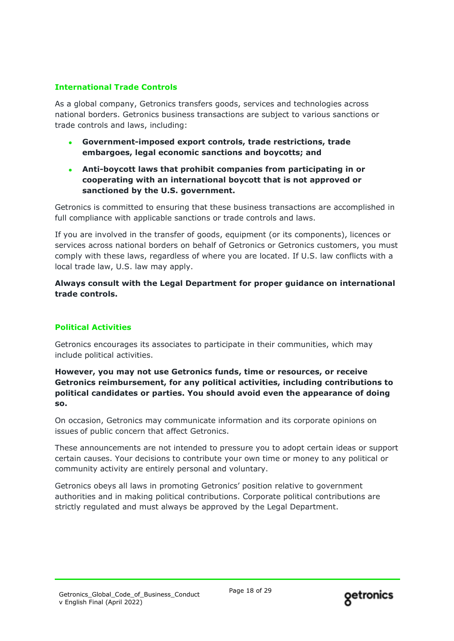## **International Trade Controls**

As a global company, Getronics transfers goods, services and technologies across national borders. Getronics business transactions are subject to various sanctions or trade controls and laws, including:

- **Government-imposed export controls, trade restrictions, trade embargoes, legal economic sanctions and boycotts; and**
- **Anti-boycott laws that prohibit companies from participating in or cooperating with an international boycott that is not approved or sanctioned by the U.S. government.**

Getronics is committed to ensuring that these business transactions are accomplished in full compliance with applicable sanctions or trade controls and laws.

If you are involved in the transfer of goods, equipment (or its components), licences or services across national borders on behalf of Getronics or Getronics customers, you must comply with these laws, regardless of where you are located. If U.S. law conflicts with a local trade law, U.S. law may apply.

**Always consult with the Legal Department for proper guidance on international trade controls.**

### **Political Activities**

Getronics encourages its associates to participate in their communities, which may include political activities.

**However, you may not use Getronics funds, time or resources, or receive Getronics reimbursement, for any political activities, including contributions to political candidates or parties. You should avoid even the appearance of doing so.**

On occasion, Getronics may communicate information and its corporate opinions on issues of public concern that affect Getronics.

These announcements are not intended to pressure you to adopt certain ideas or support certain causes. Your decisions to contribute your own time or money to any political or community activity are entirely personal and voluntary.

Getronics obeys all laws in promoting Getronics' position relative to government authorities and in making political contributions. Corporate political contributions are strictly regulated and must always be approved by the Legal Department.

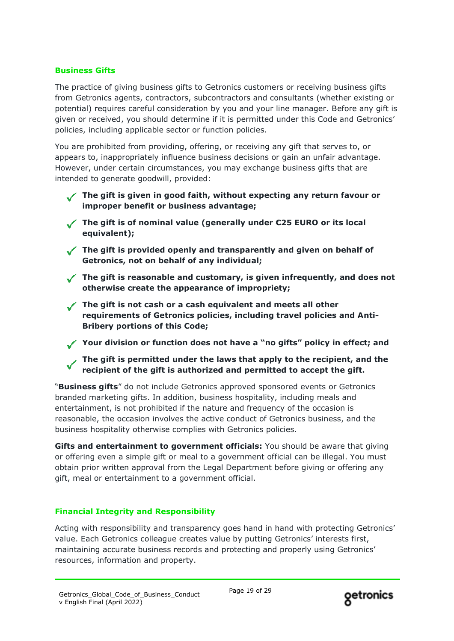## **Business Gifts**

The practice of giving business gifts to Getronics customers or receiving business gifts from Getronics agents, contractors, subcontractors and consultants (whether existing or potential) requires careful consideration by you and your line manager. Before any gift is given or received, you should determine if it is permitted under this Code and Getronics' policies, including applicable sector or function policies.

You are prohibited from providing, offering, or receiving any gift that serves to, or appears to, inappropriately influence business decisions or gain an unfair advantage. However, under certain circumstances, you may exchange business gifts that are intended to generate goodwill, provided:

- The gift is given in good faith, without expecting any return favour or **improper benefit or business advantage;**
- **The gift is of nominal value (generally under €25 EURO or its local equivalent);**
- **The gift is provided openly and transparently and given on behalf of Getronics, not on behalf of any individual;**
- **The gift is reasonable and customary, is given infrequently, and does not otherwise create the appearance of impropriety;**
- The gift is not cash or a cash equivalent and meets all other **requirements of Getronics policies, including travel policies and Anti-Bribery portions of this Code;**
- **Your division or function does not have a "no gifts" policy in effect; and**
	- **The gift is permitted under the laws that apply to the recipient, and the recipient of the gift is authorized and permitted to accept the gift.**

"**Business gifts**" do not include Getronics approved sponsored events or Getronics branded marketing gifts. In addition, business hospitality, including meals and entertainment, is not prohibited if the nature and frequency of the occasion is reasonable, the occasion involves the active conduct of Getronics business, and the business hospitality otherwise complies with Getronics policies.

**Gifts and entertainment to government officials:** You should be aware that giving or offering even a simple gift or meal to a government official can be illegal. You must obtain prior written approval from the Legal Department before giving or offering any gift, meal or entertainment to a government official.

## **Financial Integrity and Responsibility**

Acting with responsibility and transparency goes hand in hand with protecting Getronics' value. Each Getronics colleague creates value by putting Getronics' interests first, maintaining accurate business records and protecting and properly using Getronics' resources, information and property.

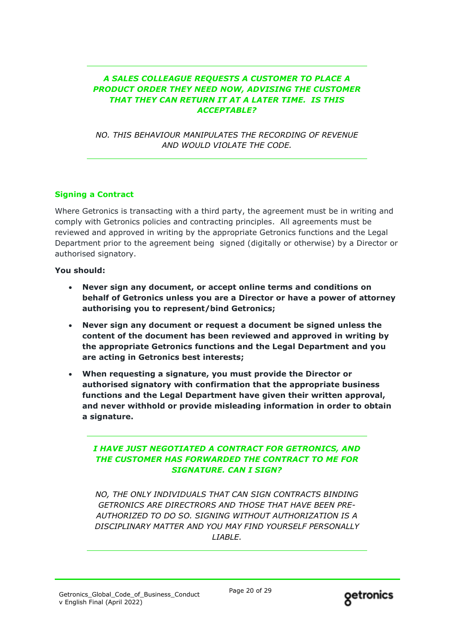## *A SALES COLLEAGUE REQUESTS A CUSTOMER TO PLACE A PRODUCT ORDER THEY NEED NOW, ADVISING THE CUSTOMER THAT THEY CAN RETURN IT AT A LATER TIME. IS THIS ACCEPTABLE?*

*NO. THIS BEHAVIOUR MANIPULATES THE RECORDING OF REVENUE AND WOULD VIOLATE THE CODE.*

## **Signing a Contract**

Where Getronics is transacting with a third party, the agreement must be in writing and comply with Getronics policies and contracting principles. All agreements must be reviewed and approved in writing by the appropriate Getronics functions and the Legal Department prior to the agreement being signed (digitally or otherwise) by a Director or authorised signatory.

## **You should:**

- **Never sign any document, or accept online terms and conditions on behalf of Getronics unless you are a Director or have a power of attorney authorising you to represent/bind Getronics;**
- **Never sign any document or request a document be signed unless the content of the document has been reviewed and approved in writing by the appropriate Getronics functions and the Legal Department and you are acting in Getronics best interests;**
- **When requesting a signature, you must provide the Director or authorised signatory with confirmation that the appropriate business functions and the Legal Department have given their written approval, and never withhold or provide misleading information in order to obtain a signature.**

## *I HAVE JUST NEGOTIATED A CONTRACT FOR GETRONICS, AND THE CUSTOMER HAS FORWARDED THE CONTRACT TO ME FOR SIGNATURE. CAN I SIGN?*

*NO, THE ONLY INDIVIDUALS THAT CAN SIGN CONTRACTS BINDING GETRONICS ARE DIRECTRORS AND THOSE THAT HAVE BEEN PRE-AUTHORIZED TO DO SO. SIGNING WITHOUT AUTHORIZATION IS A DISCIPLINARY MATTER AND YOU MAY FIND YOURSELF PERSONALLY LIABLE.*

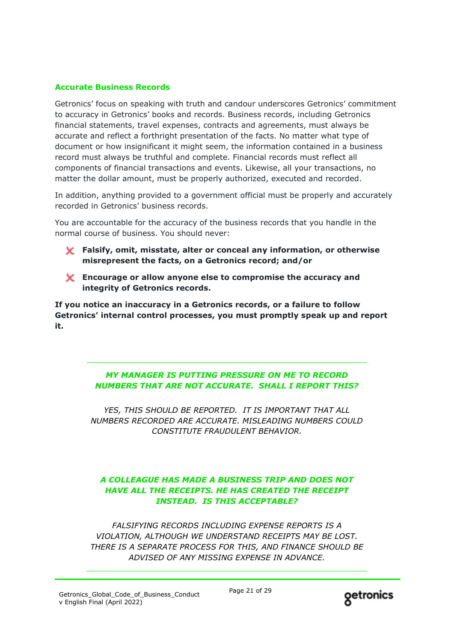## **Accurate Business Records**

Getronics' focus on speaking with truth and candour underscores Getronics' commitment to accuracy in Getronics' books and records. Business records, including Getronics financial statements, travel expenses, contracts and agreements, must always be accurate and reflect a forthright presentation of the facts. No matter what type of document or how insignificant it might seem, the information contained in a business record must always be truthful and complete. Financial records must reflect all components of financial transactions and events. Likewise, all your transactions, no matter the dollar amount, must be properly authorized, executed and recorded.

In addition, anything provided to a government official must be properly and accurately recorded in Getronics' business records.

You are accountable for the accuracy of the business records that you handle in the normal course of business. You should never:

- **Falsify, omit, misstate, alter or conceal any information, or otherwise misrepresent the facts, on a Getronics record; and/or**
- **Encourage or allow anyone else to compromise the accuracy and integrity of Getronics records.**

**If you notice an inaccuracy in a Getronics records, or a failure to follow Getronics' internal control processes, you must promptly speak up and report it.**

> *MY MANAGER IS PUTTING PRESSURE ON ME TO RECORD NUMBERS THAT ARE NOT ACCURATE. SHALL I REPORT THIS?*

*YES, THIS SHOULD BE REPORTED. IT IS IMPORTANT THAT ALL NUMBERS RECORDED ARE ACCURATE. MISLEADING NUMBERS COULD CONSTITUTE FRAUDULENT BEHAVIOR.*

## *A COLLEAGUE HAS MADE A BUSINESS TRIP AND DOES NOT HAVE ALL THE RECEIPTS. HE HAS CREATED THE RECEIPT INSTEAD. IS THIS ACCEPTABLE?*

*FALSIFYING RECORDS INCLUDING EXPENSE REPORTS IS A VIOLATION, ALTHOUGH WE UNDERSTAND RECEIPTS MAY BE LOST. THERE IS A SEPARATE PROCESS FOR THIS, AND FINANCE SHOULD BE ADVISED OF ANY MISSING EXPENSE IN ADVANCE.*

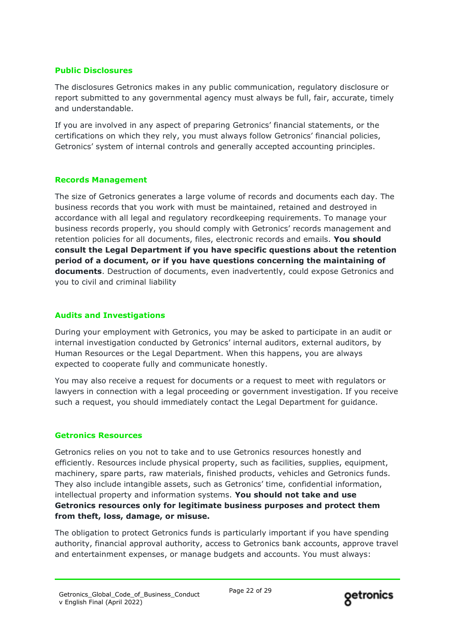## **Public Disclosures**

The disclosures Getronics makes in any public communication, regulatory disclosure or report submitted to any governmental agency must always be full, fair, accurate, timely and understandable.

If you are involved in any aspect of preparing Getronics' financial statements, or the certifications on which they rely, you must always follow Getronics' financial policies, Getronics' system of internal controls and generally accepted accounting principles.

## **Records Management**

The size of Getronics generates a large volume of records and documents each day. The business records that you work with must be maintained, retained and destroyed in accordance with all legal and regulatory recordkeeping requirements. To manage your business records properly, you should comply with Getronics' records management and retention policies for all documents, files, electronic records and emails. **You should consult the Legal Department if you have specific questions about the retention period of a document, or if you have questions concerning the maintaining of documents**. Destruction of documents, even inadvertently, could expose Getronics and you to civil and criminal liability

## **Audits and Investigations**

During your employment with Getronics, you may be asked to participate in an audit or internal investigation conducted by Getronics' internal auditors, external auditors, by Human Resources or the Legal Department. When this happens, you are always expected to cooperate fully and communicate honestly.

You may also receive a request for documents or a request to meet with regulators or lawyers in connection with a legal proceeding or government investigation. If you receive such a request, you should immediately contact the Legal Department for guidance.

### **Getronics Resources**

Getronics relies on you not to take and to use Getronics resources honestly and efficiently. Resources include physical property, such as facilities, supplies, equipment, machinery, spare parts, raw materials, finished products, vehicles and Getronics funds. They also include intangible assets, such as Getronics' time, confidential information, intellectual property and information systems. **You should not take and use Getronics resources only for legitimate business purposes and protect them from theft, loss, damage, or misuse.**

The obligation to protect Getronics funds is particularly important if you have spending authority, financial approval authority, access to Getronics bank accounts, approve travel and entertainment expenses, or manage budgets and accounts. You must always:

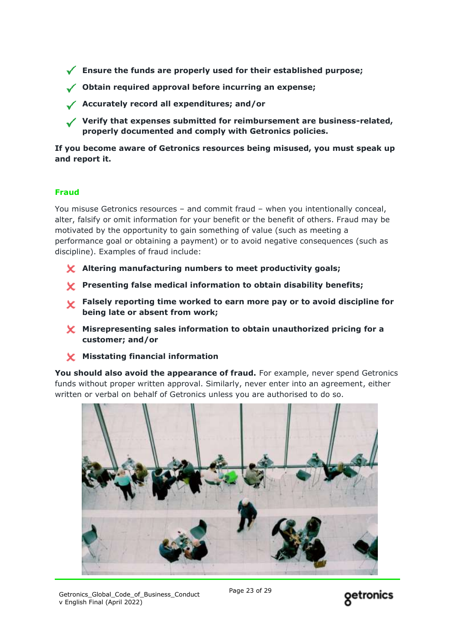**Ensure the funds are properly used for their established purpose;**

- **Obtain required approval before incurring an expense;**
- **Accurately record all expenditures; and/or**
- **Verify that expenses submitted for reimbursement are business-related, properly documented and comply with Getronics policies.**

**If you become aware of Getronics resources being misused, you must speak up and report it.**

## **Fraud**

You misuse Getronics resources – and commit fraud – when you intentionally conceal, alter, falsify or omit information for your benefit or the benefit of others. Fraud may be motivated by the opportunity to gain something of value (such as meeting a performance goal or obtaining a payment) or to avoid negative consequences (such as discipline). Examples of fraud include:

- **Altering manufacturing numbers to meet productivity goals;**
- **Presenting false medical information to obtain disability benefits;**
- **Falsely reporting time worked to earn more pay or to avoid discipline for being late or absent from work;**
- **Misrepresenting sales information to obtain unauthorized pricing for a customer; and/or**
- **Misstating financial information**

**You should also avoid the appearance of fraud.** For example, never spend Getronics funds without proper written approval. Similarly, never enter into an agreement, either written or verbal on behalf of Getronics unless you are authorised to do so.



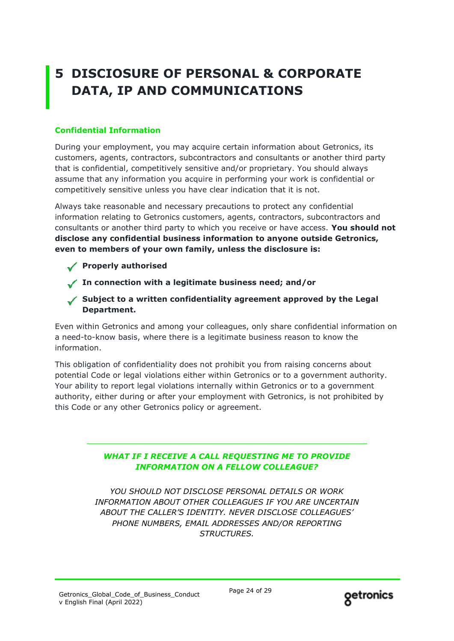# **5 DISCIOSURE OF PERSONAL & CORPORATE DATA, IP AND COMMUNICATIONS**

## **Confidential Information**

During your employment, you may acquire certain information about Getronics, its customers, agents, contractors, subcontractors and consultants or another third party that is confidential, competitively sensitive and/or proprietary. You should always assume that any information you acquire in performing your work is confidential or competitively sensitive unless you have clear indication that it is not.

Always take reasonable and necessary precautions to protect any confidential information relating to Getronics customers, agents, contractors, subcontractors and consultants or another third party to which you receive or have access. **You should not disclose any confidential business information to anyone outside Getronics, even to members of your own family, unless the disclosure is:**

- **Properly authorised**
- **In connection with a legitimate business need; and/or**
- **Subject to a written confidentiality agreement approved by the Legal Department.**

Even within Getronics and among your colleagues, only share confidential information on a need-to-know basis, where there is a legitimate business reason to know the information.

This obligation of confidentiality does not prohibit you from raising concerns about potential Code or legal violations either within Getronics or to a government authority. Your ability to report legal violations internally within Getronics or to a government authority, either during or after your employment with Getronics, is not prohibited by this Code or any other Getronics policy or agreement.

## *WHAT IF I RECEIVE A CALL REQUESTING ME TO PROVIDE INFORMATION ON A FELLOW COLLEAGUE?*

*YOU SHOULD NOT DISCLOSE PERSONAL DETAILS OR WORK INFORMATION ABOUT OTHER COLLEAGUES IF YOU ARE UNCERTAIN ABOUT THE CALLER'S IDENTITY. NEVER DISCLOSE COLLEAGUES' PHONE NUMBERS, EMAIL ADDRESSES AND/OR REPORTING STRUCTURES.*

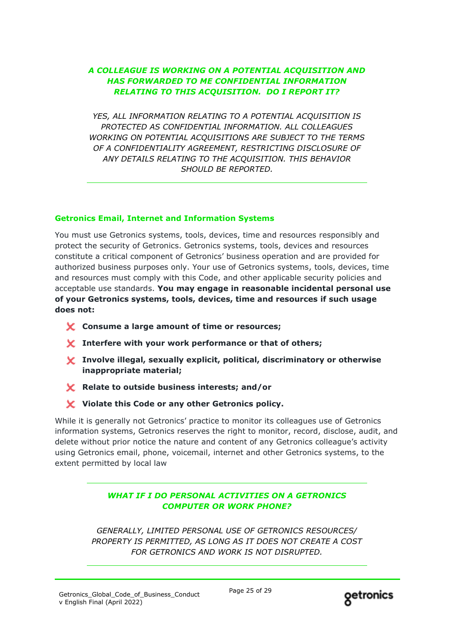## *A COLLEAGUE IS WORKING ON A POTENTIAL ACQUISITION AND HAS FORWARDED TO ME CONFIDENTIAL INFORMATION RELATING TO THIS ACQUISITION. DO I REPORT IT?*

*YES, ALL INFORMATION RELATING TO A POTENTIAL ACQUISITION IS PROTECTED AS CONFIDENTIAL INFORMATION. ALL COLLEAGUES WORKING ON POTENTIAL ACQUISITIONS ARE SUBJECT TO THE TERMS OF A CONFIDENTIALITY AGREEMENT, RESTRICTING DISCLOSURE OF ANY DETAILS RELATING TO THE ACQUISITION. THIS BEHAVIOR SHOULD BE REPORTED.*

## **Getronics Email, Internet and Information Systems**

You must use Getronics systems, tools, devices, time and resources responsibly and protect the security of Getronics. Getronics systems, tools, devices and resources constitute a critical component of Getronics' business operation and are provided for authorized business purposes only. Your use of Getronics systems, tools, devices, time and resources must comply with this Code, and other applicable security policies and acceptable use standards. **You may engage in reasonable incidental personal use of your Getronics systems, tools, devices, time and resources if such usage does not:**

- **Consume a large amount of time or resources;**
- **Interfere with your work performance or that of others;**
- **Involve illegal, sexually explicit, political, discriminatory or otherwise inappropriate material;**
- **Relate to outside business interests; and/or**
- **Violate this Code or any other Getronics policy.**

While it is generally not Getronics' practice to monitor its colleagues use of Getronics information systems, Getronics reserves the right to monitor, record, disclose, audit, and delete without prior notice the nature and content of any Getronics colleague's activity using Getronics email, phone, voicemail, internet and other Getronics systems, to the extent permitted by local law

## *WHAT IF I DO PERSONAL ACTIVITIES ON A GETRONICS COMPUTER OR WORK PHONE?*

*GENERALLY, LIMITED PERSONAL USE OF GETRONICS RESOURCES/ PROPERTY IS PERMITTED, AS LONG AS IT DOES NOT CREATE A COST FOR GETRONICS AND WORK IS NOT DISRUPTED.*

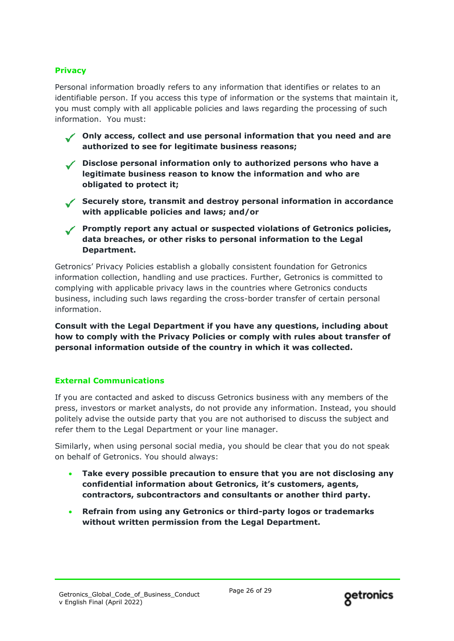## **Privacy**

Personal information broadly refers to any information that identifies or relates to an identifiable person. If you access this type of information or the systems that maintain it, you must comply with all applicable policies and laws regarding the processing of such information. You must:

**Only access, collect and use personal information that you need and are authorized to see for legitimate business reasons;**

- **Disclose personal information only to authorized persons who have a legitimate business reason to know the information and who are obligated to protect it;**
- **Securely store, transmit and destroy personal information in accordance with applicable policies and laws; and/or**

**Promptly report any actual or suspected violations of Getronics policies, data breaches, or other risks to personal information to the Legal Department.**

Getronics' Privacy Policies establish a globally consistent foundation for Getronics information collection, handling and use practices. Further, Getronics is committed to complying with applicable privacy laws in the countries where Getronics conducts business, including such laws regarding the cross-border transfer of certain personal information.

**Consult with the Legal Department if you have any questions, including about how to comply with the Privacy Policies or comply with rules about transfer of personal information outside of the country in which it was collected.**

### **External Communications**

If you are contacted and asked to discuss Getronics business with any members of the press, investors or market analysts, do not provide any information. Instead, you should politely advise the outside party that you are not authorised to discuss the subject and refer them to the Legal Department or your line manager.

Similarly, when using personal social media, you should be clear that you do not speak on behalf of Getronics. You should always:

- **Take every possible precaution to ensure that you are not disclosing any confidential information about Getronics, it's customers, agents, contractors, subcontractors and consultants or another third party.**
- **Refrain from using any Getronics or third-party logos or trademarks without written permission from the Legal Department.**

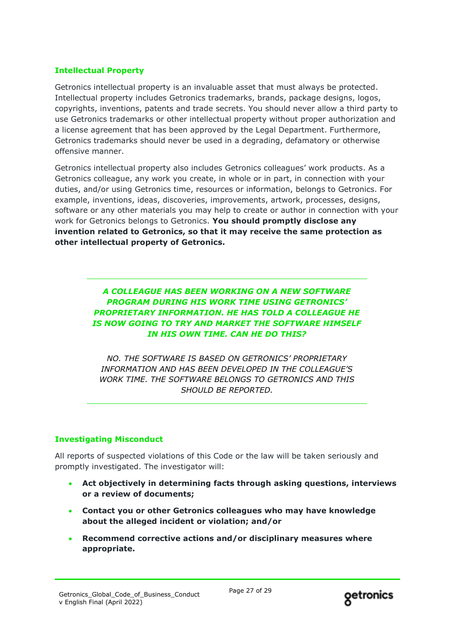## **Intellectual Property**

Getronics intellectual property is an invaluable asset that must always be protected. Intellectual property includes Getronics trademarks, brands, package designs, logos, copyrights, inventions, patents and trade secrets. You should never allow a third party to use Getronics trademarks or other intellectual property without proper authorization and a license agreement that has been approved by the Legal Department. Furthermore, Getronics trademarks should never be used in a degrading, defamatory or otherwise offensive manner.

Getronics intellectual property also includes Getronics colleagues' work products. As a Getronics colleague, any work you create, in whole or in part, in connection with your duties, and/or using Getronics time, resources or information, belongs to Getronics. For example, inventions, ideas, discoveries, improvements, artwork, processes, designs, software or any other materials you may help to create or author in connection with your work for Getronics belongs to Getronics. **You should promptly disclose any invention related to Getronics, so that it may receive the same protection as other intellectual property of Getronics.**

## *A COLLEAGUE HAS BEEN WORKING ON A NEW SOFTWARE PROGRAM DURING HIS WORK TIME USING GETRONICS' PROPRIETARY INFORMATION. HE HAS TOLD A COLLEAGUE HE IS NOW GOING TO TRY AND MARKET THE SOFTWARE HIMSELF IN HIS OWN TIME. CAN HE DO THIS?*

*NO. THE SOFTWARE IS BASED ON GETRONICS' PROPRIETARY INFORMATION AND HAS BEEN DEVELOPED IN THE COLLEAGUE'S WORK TIME. THE SOFTWARE BELONGS TO GETRONICS AND THIS SHOULD BE REPORTED.*

### **Investigating Misconduct**

All reports of suspected violations of this Code or the law will be taken seriously and promptly investigated. The investigator will:

- **Act objectively in determining facts through asking questions, interviews or a review of documents;**
- **Contact you or other Getronics colleagues who may have knowledge about the alleged incident or violation; and/or**
- **Recommend corrective actions and/or disciplinary measures where appropriate.**

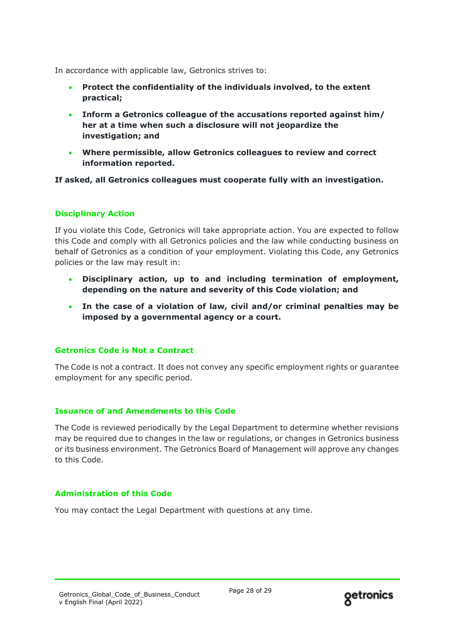In accordance with applicable law, Getronics strives to:

- **Protect the confidentiality of the individuals involved, to the extent practical;**
- **Inform a Getronics colleague of the accusations reported against him/ her at a time when such a disclosure will not jeopardize the investigation; and**
- **Where permissible, allow Getronics colleagues to review and correct information reported.**

**If asked, all Getronics colleagues must cooperate fully with an investigation.**

## **Disciplinary Action**

If you violate this Code, Getronics will take appropriate action. You are expected to follow this Code and comply with all Getronics policies and the law while conducting business on behalf of Getronics as a condition of your employment. Violating this Code, any Getronics policies or the law may result in:

- **Disciplinary action, up to and including termination of employment, depending on the nature and severity of this Code violation; and**
- **In the case of a violation of law, civil and/or criminal penalties may be imposed by a governmental agency or a court.**

### **Getronics Code is Not a Contract**

The Code is not a contract. It does not convey any specific employment rights or guarantee employment for any specific period.

### **Issuance of and Amendments to this Code**

The Code is reviewed periodically by the Legal Department to determine whether revisions may be required due to changes in the law or regulations, or changes in Getronics business or its business environment. The Getronics Board of Management will approve any changes to this Code.

### **Administration of this Code**

You may contact the Legal Department with questions at any time.